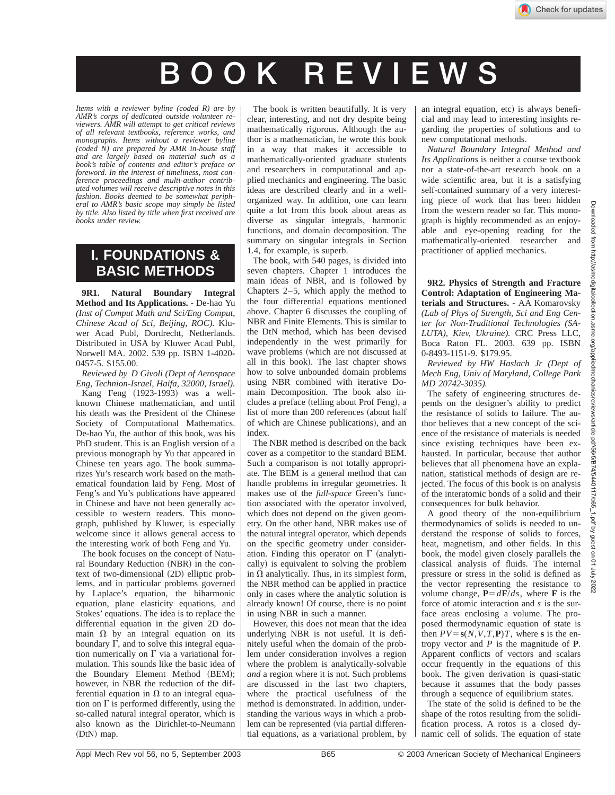# **BOOK REVIEWS**

*Items with a reviewer byline (coded R) are by AMR's corps of dedicated outside volunteer reviewers. AMR will attempt to get critical reviews of all relevant textbooks, reference works, and monographs. Items without a reviewer byline (coded N) are prepared by AMR in-house staff and are largely based on material such as a book's table of contents and editor's preface or foreword. In the interest of timeliness, most conference proceedings and multi-author contributed volumes will receive descriptive notes in this fashion. Books deemed to be somewhat periph-eral to AMR's basic scope may simply be listed by title. Also listed by title when first received are books under review.*

# **Example 1. FOUNDATIONS &<br>! ! BASIC METHODS BASIC METHODS**

**9R1. Natural Boundary Integral Method and Its Applications. -** De-hao Yu *(Inst of Comput Math and Sci/Eng Comput, Chinese Acad of Sci, Beijing, ROC).* Kluwer Acad Publ, Dordrecht, Netherlands. Distributed in USA by Kluwer Acad Publ, Norwell MA. 2002. 539 pp. ISBN 1-4020- 0457-5. \$155.00.

*Reviewed by D Givoli (Dept of Aerospace Eng, Technion-Israel, Haifa, 32000, Israel).*

Kang Feng (1923-1993) was a wellknown Chinese mathematician, and until his death was the President of the Chinese Society of Computational Mathematics. De-hao Yu, the author of this book, was his PhD student. This is an English version of a previous monograph by Yu that appeared in Chinese ten years ago. The book summarizes Yu's research work based on the mathematical foundation laid by Feng. Most of Feng's and Yu's publications have appeared in Chinese and have not been generally accessible to western readers. This monograph, published by Kluwer, is especially welcome since it allows general access to the interesting work of both Feng and Yu.

The book focuses on the concept of Natural Boundary Reduction (NBR) in the context of two-dimensional (2D) elliptic problems, and in particular problems governed by Laplace's equation, the biharmonic equation, plane elasticity equations, and Stokes' equations. The idea is to replace the differential equation in the given 2D domain  $\Omega$  by an integral equation on its boundary  $\Gamma$ , and to solve this integral equation numerically on  $\Gamma$  via a variational formulation. This sounds like the basic idea of the Boundary Element Method (BEM); however, in NBR the reduction of the differential equation in  $\Omega$  to an integral equation on  $\Gamma$  is performed differently, using the so-called natural integral operator, which is also known as the Dirichlet-to-Neumann (DtN) map.

The book is written beautifully. It is very clear, interesting, and not dry despite being mathematically rigorous. Although the author is a mathematician, he wrote this book in a way that makes it accessible to mathematically-oriented graduate students and researchers in computational and applied mechanics and engineering. The basic ideas are described clearly and in a wellorganized way. In addition, one can learn quite a lot from this book about areas as diverse as singular integrals, harmonic functions, and domain decomposition. The summary on singular integrals in Section 1.4, for example, is superb.

The book, with 540 pages, is divided into seven chapters. Chapter 1 introduces the main ideas of NBR, and is followed by Chapters 2–5, which apply the method to the four differential equations mentioned above. Chapter 6 discusses the coupling of NBR and Finite Elements. This is similar to the DtN method, which has been devised independently in the west primarily for wave problems (which are not discussed at all in this book). The last chapter shows how to solve unbounded domain problems using NBR combined with iterative Domain Decomposition. The book also includes a preface (telling about Prof Feng), a list of more than 200 references (about half of which are Chinese publications), and an index.

The NBR method is described on the back cover as a competitor to the standard BEM. Such a comparison is not totally appropriate. The BEM is a general method that can handle problems in irregular geometries. It makes use of the *full-space* Green's function associated with the operator involved, which does not depend on the given geometry. On the other hand, NBR makes use of the natural integral operator, which depends on the specific geometry under consideration. Finding this operator on  $\Gamma$  (analytically) is equivalent to solving the problem in  $\Omega$  analytically. Thus, in its simplest form, the NBR method can be applied in practice only in cases where the analytic solution is already known! Of course, there is no point in using NBR in such a manner.

However, this does not mean that the idea underlying NBR is not useful. It is definitely useful when the domain of the problem under consideration involves a region where the problem is analytically-solvable *and* a region where it is not. Such problems are discussed in the last two chapters, where the practical usefulness of the method is demonstrated. In addition, understanding the various ways in which a problem can be represented (via partial differential equations, as a variational problem, by an integral equation, etc) is always beneficial and may lead to interesting insights regarding the properties of solutions and to new computational methods.

*Natural Boundary Integral Method and Its Applications* is neither a course textbook nor a state-of-the-art research book on a wide scientific area, but it is a satisfying self-contained summary of a very interesting piece of work that has been hidden from the western reader so far. This monograph is highly recommended as an enjoyable and eye-opening reading for the mathematically-oriented researcher and practitioner of applied mechanics.

**9R2. Physics of Strength and Fracture Control: Adaptation of Engineering Materials and Structures. -** AA Komarovsky *(Lab of Phys of Strength, Sci and Eng Center for Non-Traditional Technologies (SA-LUTA), Kiev, Ukraine).* CRC Press LLC, Boca Raton FL. 2003. 639 pp. ISBN 0-8493-1151-9. \$179.95.

*Reviewed by HW Haslach Jr (Dept of Mech Eng, Univ of Maryland, College Park MD 20742-3035).*

The safety of engineering structures depends on the designer's ability to predict the resistance of solids to failure. The author believes that a new concept of the science of the resistance of materials is needed since existing techniques have been exhausted. In particular, because that author believes that all phenomena have an explanation, statistical methods of design are rejected. The focus of this book is on analysis of the interatomic bonds of a solid and their consequences for bulk behavior.

A good theory of the non-equilibrium thermodynamics of solids is needed to understand the response of solids to forces, heat, magnetism, and other fields. In this book, the model given closely parallels the classical analysis of fluids. The internal pressure or stress in the solid is defined as the vector representing the resistance to volume change,  $P = dF/ds$ , where **F** is the force of atomic interaction and *s* is the surface areas enclosing a volume. The proposed thermodynamic equation of state is then  $PV = s(N, V, T, P)T$ , where **s** is the entropy vector and *P* is the magnitude of **P**. Apparent conflicts of vectors and scalars occur frequently in the equations of this book. The given derivation is quasi-static because it assumes that the body passes through a sequence of equilibrium states.

The state of the solid is defined to be the shape of the rotos resulting from the solidification process. A rotos is a closed dynamic cell of solids. The equation of state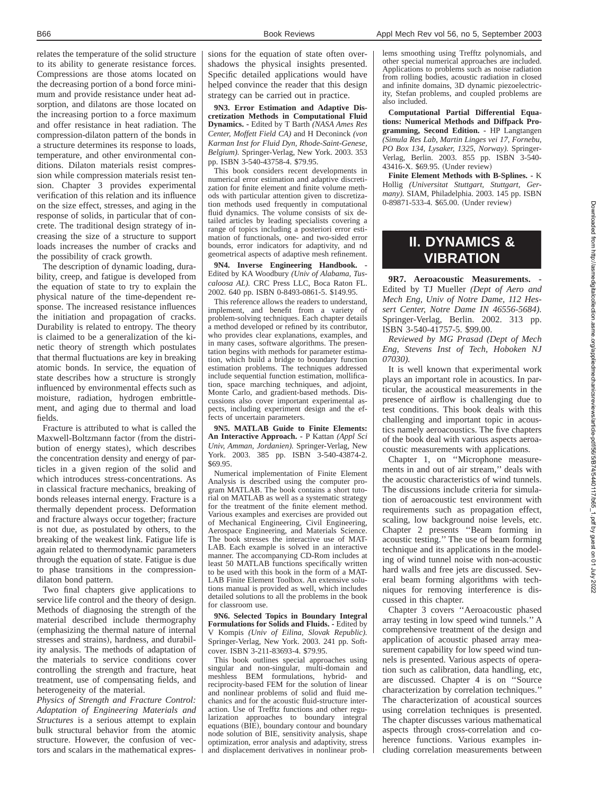relates the temperature of the solid structure to its ability to generate resistance forces. Compressions are those atoms located on the decreasing portion of a bond force minimum and provide resistance under heat adsorption, and dilatons are those located on the increasing portion to a force maximum and offer resistance in heat radiation. The compression-dilaton pattern of the bonds in a structure determines its response to loads, temperature, and other environmental conditions. Dilaton materials resist compression while compression materials resist tension. Chapter 3 provides experimental verification of this relation and its influence on the size effect, stresses, and aging in the response of solids, in particular that of concrete. The traditional design strategy of increasing the size of a structure to support loads increases the number of cracks and the possibility of crack growth.

The description of dynamic loading, durability, creep, and fatigue is developed from the equation of state to try to explain the physical nature of the time-dependent response. The increased resistance influences the initiation and propagation of cracks. Durability is related to entropy. The theory is claimed to be a generalization of the kinetic theory of strength which postulates that thermal fluctuations are key in breaking atomic bonds. In service, the equation of state describes how a structure is strongly influenced by environmental effects such as moisture, radiation, hydrogen embrittlement, and aging due to thermal and load fields.

Fracture is attributed to what is called the Maxwell-Boltzmann factor (from the distribution of energy states), which describes the concentration density and energy of particles in a given region of the solid and which introduces stress-concentrations. As in classical fracture mechanics, breaking of bonds releases internal energy. Fracture is a thermally dependent process. Deformation and fracture always occur together; fracture is not due, as postulated by others, to the breaking of the weakest link. Fatigue life is again related to thermodynamic parameters through the equation of state. Fatigue is due to phase transitions in the compressiondilaton bond pattern.

Two final chapters give applications to service life control and the theory of design. Methods of diagnosing the strength of the material described include thermography (emphasizing the thermal nature of internal stresses and strains), hardness, and durability analysis. The methods of adaptation of the materials to service conditions cover controlling the strength and fracture, heat treatment, use of compensating fields, and heterogeneity of the material.

*Physics of Strength and Fracture Control: Adaptation of Engineering Materials and Structures* is a serious attempt to explain bulk structural behavior from the atomic structure. However, the confusion of vectors and scalars in the mathematical expressions for the equation of state often overshadows the physical insights presented. Specific detailed applications would have helped convince the reader that this design strategy can be carried out in practice.

**9N3. Error Estimation and Adaptive Discretization Methods in Computational Fluid Dynamics. -** Edited by T Barth *(NASA Ames Res Center, Moffett Field CA)* and H Deconinck *(von Karman Inst for Fluid Dyn, Rhode-Saint-Genese, Belgium).* Springer-Verlag, New York. 2003. 353 pp. ISBN 3-540-43758-4. \$79.95.

This book considers recent developments in numerical error estimation and adaptive discretization for finite element and finite volume methods with particular attention given to discretization methods used frequently in computational fluid dynamics. The volume consists of six detailed articles by leading specialists covering a range of topics including a posteriori error estimation of functionals, one- and two-sided error bounds, error indicators for adaptivity, and nd geometrical aspects of adaptive mesh refinement.

**9N4. Inverse Engineering Handbook. -** Edited by KA Woodbury *(Univ of Alabama, Tuscaloosa AL).* CRC Press LLC, Boca Raton FL. 2002. 640 pp. ISBN 0-8493-0861-5. \$149.95.

This reference allows the readers to understand, implement, and benefit from a variety of problem-solving techniques. Each chapter details a method developed or refined by its contributor, who provides clear explanations, examples, and in many cases, software algorithms. The presentation begins with methods for parameter estimation, which build a bridge to boundary function estimation problems. The techniques addressed include sequential function estimation, mollification, space marching techniques, and adjoint, Monte Carlo, and gradient-based methods. Discussions also cover important experimental aspects, including experiment design and the effects of uncertain parameters.

**9N5. MATLAB Guide to Finite Elements: An Interactive Approach. -** P Kattan *(Appl Sci Univ, Amman, Jordanien).* Springer-Verlag, New York. 2003. 385 pp. ISBN 3-540-43874-2. \$69.95.

Numerical implementation of Finite Element Analysis is described using the computer program MATLAB. The book contains a short tutorial on MATLAB as well as a systematic strategy for the treatment of the finite element method. Various examples and exercises are provided out of Mechanical Engineering, Civil Engineering, Aerospace Engineering, and Materials Science. The book stresses the interactive use of MAT-LAB. Each example is solved in an interactive manner. The accompanying CD-Rom includes at least 50 MATLAB functions specifically written to be used with this book in the form of a MAT-LAB Finite Element Toolbox. An extensive solutions manual is provided as well, which includes detailed solutions to all the problems in the book for classroom use.

**9N6. Selected Topics in Boundary Integral Formulations for Solids and Fluids. -** Edited by V Kompis *(Univ of Eilina, Slovak Republic).* Springer-Verlag, New York. 2003. 241 pp. Softcover. ISBN 3-211-83693-4. \$79.95.

This book outlines special approaches using singular and non-singular, multi-domain and meshless BEM formulations, hybrid- and reciprocity-based FEM for the solution of linear and nonlinear problems of solid and fluid mechanics and for the acoustic fluid-structure interaction. Use of Trefftz functions and other regularization approaches to boundary integral equations (BIE), boundary contour and boundary node solution of BIE, sensitivity analysis, shape optimization, error analysis and adaptivity, stress and displacement derivatives in nonlinear prob-

lems smoothing using Trefftz polynomials, and other special numerical approaches are included. Applications to problems such as noise radiation from rolling bodies, acoustic radiation in closed and infinite domains, 3D dynamic piezoelectricity, Stefan problems, and coupled problems are also included.

**Computational Partial Differential Equations: Numerical Methods and Diffpack Programming, Second Edition. -** HP Langtangen *(Simula Res Lab, Martin Linges vei 17, Fornebu, PO Box 134, Lysaker, 1325, Norway).* Springer-Verlag, Berlin. 2003. 855 pp. ISBN 3-540- 43416-X. \$69.95. (Under review)

**Finite Element Methods with B-Splines. -** K Hollig *(Universitat Stuttgart, Stuttgart, Germany).* SIAM, Philadelphia. 2003. 145 pp. ISBN 0-89871-533-4. \$65.00. (Under review)

### **II. DYNAMICS & VIBRATION**

**9R7. Aeroacoustic Measurements. -** Edited by TJ Mueller *(Dept of Aero and Mech Eng, Univ of Notre Dame, 112 Hessert Center, Notre Dame IN 46556-5684).* Springer-Verlag, Berlin. 2002. 313 pp. ISBN 3-540-41757-5. \$99.00.

*Reviewed by MG Prasad (Dept of Mech Eng, Stevens Inst of Tech, Hoboken NJ 07030).*

It is well known that experimental work plays an important role in acoustics. In particular, the acoustical measurements in the presence of airflow is challenging due to test conditions. This book deals with this challenging and important topic in acoustics namely aeroacoustics. The five chapters of the book deal with various aspects aeroacoustic measurements with applications.

Chapter 1, on ''Microphone measurements in and out of air stream,'' deals with the acoustic characteristics of wind tunnels. The discussions include criteria for simulation of aeroacoustic test environment with requirements such as propagation effect, scaling, low background noise levels, etc. Chapter 2 presents ''Beam forming in acoustic testing.'' The use of beam forming technique and its applications in the modeling of wind tunnel noise with non-acoustic hard walls and free jets are discussed. Several beam forming algorithms with techniques for removing interference is discussed in this chapter.

Chapter 3 covers ''Aeroacoustic phased array testing in low speed wind tunnels.'' A comprehensive treatment of the design and application of acoustic phased array measurement capability for low speed wind tunnels is presented. Various aspects of operation such as calibration, data handling, etc, are discussed. Chapter 4 is on ''Source characterization by correlation techniques.'' The characterization of acoustical sources using correlation techniques is presented. The chapter discusses various mathematical aspects through cross-correlation and coherence functions. Various examples including correlation measurements between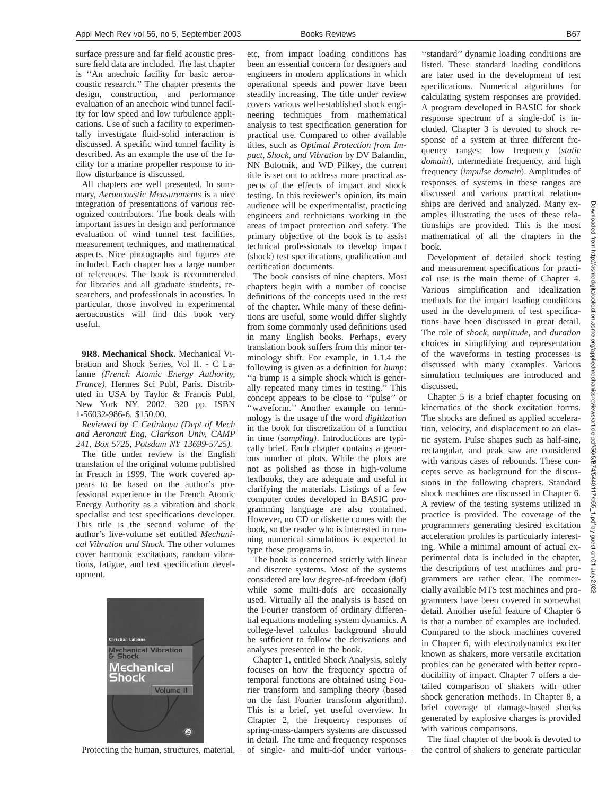surface pressure and far field acoustic pressure field data are included. The last chapter is ''An anechoic facility for basic aeroacoustic research.'' The chapter presents the design, construction, and performance evaluation of an anechoic wind tunnel facility for low speed and low turbulence applications. Use of such a facility to experimentally investigate fluid-solid interaction is discussed. A specific wind tunnel facility is described. As an example the use of the facility for a marine propeller response to inflow disturbance is discussed.

All chapters are well presented. In summary, *Aeroacoustic Measurements* is a nice integration of presentations of various recognized contributors. The book deals with important issues in design and performance evaluation of wind tunnel test facilities, measurement techniques, and mathematical aspects. Nice photographs and figures are included. Each chapter has a large number of references. The book is recommended for libraries and all graduate students, researchers, and professionals in acoustics. In particular, those involved in experimental aeroacoustics will find this book very useful.

**9R8. Mechanical Shock.** Mechanical Vibration and Shock Series, Vol II. **-** C Lalanne *(French Atomic Energy Authority, France).* Hermes Sci Publ, Paris. Distributed in USA by Taylor & Francis Publ, New York NY. 2002. 320 pp. ISBN 1-56032-986-6. \$150.00.

*Reviewed by C Cetinkaya (Dept of Mech and Aeronaut Eng, Clarkson Univ, CAMP 241, Box 5725, Potsdam NY 13699-5725).*

The title under review is the English translation of the original volume published in French in 1999. The work covered appears to be based on the author's professional experience in the French Atomic Energy Authority as a vibration and shock specialist and test specifications developer. This title is the second volume of the author's five-volume set entitled *Mechanical Vibration and Shock*. The other volumes cover harmonic excitations, random vibrations, fatigue, and test specification development.



Protecting the human, structures, material,

etc, from impact loading conditions has been an essential concern for designers and engineers in modern applications in which operational speeds and power have been steadily increasing. The title under review covers various well-established shock engineering techniques from mathematical analysis to test specification generation for practical use. Compared to other available titles, such as *Optimal Protection from Impact, Shock, and Vibration* by DV Balandin, NN Bolotnik, and WD Pilkey, the current title is set out to address more practical aspects of the effects of impact and shock testing. In this reviewer's opinion, its main audience will be experimentalist, practicing engineers and technicians working in the areas of impact protection and safety. The primary objective of the book is to assist technical professionals to develop impact (shock) test specifications, qualification and certification documents.

The book consists of nine chapters. Most chapters begin with a number of concise definitions of the concepts used in the rest of the chapter. While many of these definitions are useful, some would differ slightly from some commonly used definitions used in many English books. Perhaps, every translation book suffers from this minor terminology shift. For example, in 1.1.4 the following is given as a definition for *bump*: ''a bump is a simple shock which is generally repeated many times in testing.'' This concept appears to be close to ''pulse'' or ''waveform.'' Another example on terminology is the usage of the word *digitization* in the book for discretization of a function in time (*sampling*). Introductions are typically brief. Each chapter contains a generous number of plots. While the plots are not as polished as those in high-volume textbooks, they are adequate and useful in clarifying the materials. Listings of a few computer codes developed in BASIC programming language are also contained. However, no CD or diskette comes with the book, so the reader who is interested in running numerical simulations is expected to type these programs in.

The book is concerned strictly with linear and discrete systems. Most of the systems considered are low degree-of-freedom (dof) while some multi-dofs are occasionally used. Virtually all the analysis is based on the Fourier transform of ordinary differential equations modeling system dynamics. A college-level calculus background should be sufficient to follow the derivations and analyses presented in the book.

Chapter 1, entitled Shock Analysis, solely focuses on how the frequency spectra of temporal functions are obtained using Fourier transform and sampling theory (based on the fast Fourier transform algorithm). This is a brief, yet useful overview. In Chapter 2, the frequency responses of spring-mass-dampers systems are discussed in detail. The time and frequency responses of single- and multi-dof under various-

''standard'' dynamic loading conditions are listed. These standard loading conditions are later used in the development of test specifications. Numerical algorithms for calculating system responses are provided. A program developed in BASIC for shock response spectrum of a single-dof is included. Chapter 3 is devoted to shock response of a system at three different frequency ranges: low frequency (*static* domain), intermediate frequency, and high frequency (impulse domain). Amplitudes of responses of systems in these ranges are discussed and various practical relationships are derived and analyzed. Many examples illustrating the uses of these relationships are provided. This is the most mathematical of all the chapters in the book.

Development of detailed shock testing and measurement specifications for practical use is the main theme of Chapter 4. Various simplification and idealization methods for the impact loading conditions used in the development of test specifications have been discussed in great detail. The role of *shock*, *amplitude*, and *duration* choices in simplifying and representation of the waveforms in testing processes is discussed with many examples. Various simulation techniques are introduced and discussed.

Chapter 5 is a brief chapter focusing on kinematics of the shock excitation forms. The shocks are defined as applied acceleration, velocity, and displacement to an elastic system. Pulse shapes such as half-sine, rectangular, and peak saw are considered with various cases of rebounds. These concepts serve as background for the discussions in the following chapters. Standard shock machines are discussed in Chapter 6. A review of the testing systems utilized in practice is provided. The coverage of the programmers generating desired excitation acceleration profiles is particularly interesting. While a minimal amount of actual experimental data is included in the chapter, the descriptions of test machines and programmers are rather clear. The commercially available MTS test machines and programmers have been covered in somewhat detail. Another useful feature of Chapter 6 is that a number of examples are included. Compared to the shock machines covered in Chapter 6, with electrodynamics exciter known as shakers, more versatile excitation profiles can be generated with better reproducibility of impact. Chapter 7 offers a detailed comparison of shakers with other shock generation methods. In Chapter 8, a brief coverage of damage-based shocks generated by explosive charges is provided with various comparisons.

The final chapter of the book is devoted to the control of shakers to generate particular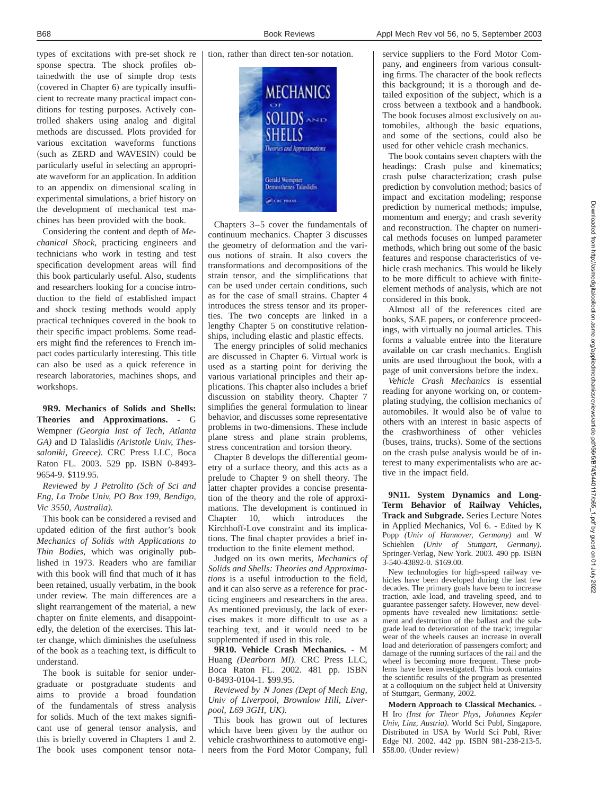types of excitations with pre-set shock re sponse spectra. The shock profiles obtainedwith the use of simple drop tests  $(covered in Chapter 6)$  are typically insufficient to recreate many practical impact conditions for testing purposes. Actively controlled shakers using analog and digital methods are discussed. Plots provided for various excitation waveforms functions (such as ZERD and WAVESIN) could be particularly useful in selecting an appropriate waveform for an application. In addition to an appendix on dimensional scaling in experimental simulations, a brief history on the development of mechanical test machines has been provided with the book.

Considering the content and depth of *Mechanical Shock*, practicing engineers and technicians who work in testing and test specification development areas will find this book particularly useful. Also, students and researchers looking for a concise introduction to the field of established impact and shock testing methods would apply practical techniques covered in the book to their specific impact problems. Some readers might find the references to French impact codes particularly interesting. This title can also be used as a quick reference in research laboratories, machines shops, and workshops.

**9R9. Mechanics of Solids and Shells: Theories and Approximations. -** G Wempner *(Georgia Inst of Tech, Atlanta GA)* and D Talaslidis *(Aristotle Univ, Thessaloniki, Greece).* CRC Press LLC, Boca Raton FL. 2003. 529 pp. ISBN 0-8493- 9654-9. \$119.95.

*Reviewed by J Petrolito (Sch of Sci and Eng, La Trobe Univ, PO Box 199, Bendigo, Vic 3550, Australia).*

This book can be considered a revised and updated edition of the first author's book *Mechanics of Solids with Applications to Thin Bodies*, which was originally published in 1973. Readers who are familiar with this book will find that much of it has been retained, usually verbatim, in the book under review. The main differences are a slight rearrangement of the material, a new chapter on finite elements, and disappointedly, the deletion of the exercises. This latter change, which diminishes the usefulness of the book as a teaching text, is difficult to understand.

The book is suitable for senior undergraduate or postgraduate students and aims to provide a broad foundation of the fundamentals of stress analysis for solids. Much of the text makes significant use of general tensor analysis, and this is briefly covered in Chapters 1 and 2. The book uses component tensor notation, rather than direct ten-sor notation.



Chapters 3–5 cover the fundamentals of continuum mechanics. Chapter 3 discusses the geometry of deformation and the various notions of strain. It also covers the transformations and decompositions of the strain tensor, and the simplifications that can be used under certain conditions, such as for the case of small strains. Chapter 4 introduces the stress tensor and its properties. The two concepts are linked in a lengthy Chapter 5 on constitutive relationships, including elastic and plastic effects.

The energy principles of solid mechanics are discussed in Chapter 6. Virtual work is used as a starting point for deriving the various variational principles and their applications. This chapter also includes a brief discussion on stability theory. Chapter 7 simplifies the general formulation to linear behavior, and discusses some representative problems in two-dimensions. These include plane stress and plane strain problems, stress concentration and torsion theory.

Chapter 8 develops the differential geometry of a surface theory, and this acts as a prelude to Chapter 9 on shell theory. The latter chapter provides a concise presentation of the theory and the role of approximations. The development is continued in Chapter 10, which introduces the Kirchhoff-Love constraint and its implications. The final chapter provides a brief introduction to the finite element method.

Judged on its own merits, *Mechanics of Solids and Shells: Theories and Approximations* is a useful introduction to the field, and it can also serve as a reference for practicing engineers and researchers in the area. As mentioned previously, the lack of exercises makes it more difficult to use as a teaching text, and it would need to be supplemented if used in this role.

**9R10. Vehicle Crash Mechanics. -** M Huang *(Dearborn MI).* CRC Press LLC, Boca Raton FL. 2002. 481 pp. ISBN 0-8493-0104-1. \$99.95.

*Reviewed by N Jones (Dept of Mech Eng, Univ of Liverpool, Brownlow Hill, Liverpool, L69 3GH, UK).*

This book has grown out of lectures which have been given by the author on vehicle crashworthiness to automotive engineers from the Ford Motor Company, full

service suppliers to the Ford Motor Company, and engineers from various consulting firms. The character of the book reflects this background; it is a thorough and detailed exposition of the subject, which is a cross between a textbook and a handbook. The book focuses almost exclusively on automobiles, although the basic equations, and some of the sections, could also be used for other vehicle crash mechanics.

The book contains seven chapters with the headings: Crash pulse and kinematics; crash pulse characterization; crash pulse prediction by convolution method; basics of impact and excitation modeling; response prediction by numerical methods; impulse, momentum and energy; and crash severity and reconstruction. The chapter on numerical methods focuses on lumped parameter methods, which bring out some of the basic features and response characteristics of vehicle crash mechanics. This would be likely to be more difficult to achieve with finiteelement methods of analysis, which are not considered in this book.

Almost all of the references cited are books, SAE papers, or conference proceedings, with virtually no journal articles. This forms a valuable entrée into the literature available on car crash mechanics. English units are used throughout the book, with a page of unit conversions before the index.

*Vehicle Crash Mechanics* is essential reading for anyone working on, or contemplating studying, the collision mechanics of automobiles. It would also be of value to others with an interest in basic aspects of the crashworthiness of other vehicles (buses, trains, trucks). Some of the sections on the crash pulse analysis would be of interest to many experimentalists who are active in the impact field.

**9N11. System Dynamics and Long-Term Behavior of Railway Vehicles, Track and Subgrade.** Series Lecture Notes in Applied Mechanics, Vol 6. **-** Edited by K Popp *(Univ of Hannover, Germany)* and W Schiehlen *(Univ of Stuttgart, Germany).* Springer-Verlag, New York. 2003. 490 pp. ISBN 3-540-43892-0. \$169.00.

New technologies for high-speed railway vehicles have been developed during the last few decades. The primary goals have been to increase traction, axle load, and traveling speed, and to guarantee passenger safety. However, new developments have revealed new limitations: settlement and destruction of the ballast and the subgrade lead to deterioration of the track; irregular wear of the wheels causes an increase in overall load and deterioration of passengers comfort; and damage of the running surfaces of the rail and the wheel is becoming more frequent. These problems have been investigated. This book contains the scientific results of the program as presented at a colloquium on the subject held at University of Stuttgart, Germany, 2002.

**Modern Approach to Classical Mechanics. -** H Iro *(Inst for Theor Phys, Johannes Kepler Univ, Linz, Austria).* World Sci Publ, Singapore. Distributed in USA by World Sci Publ, River Edge NJ. 2002. 442 pp. ISBN 981-238-213-5.  $$58.00.$  (Under review)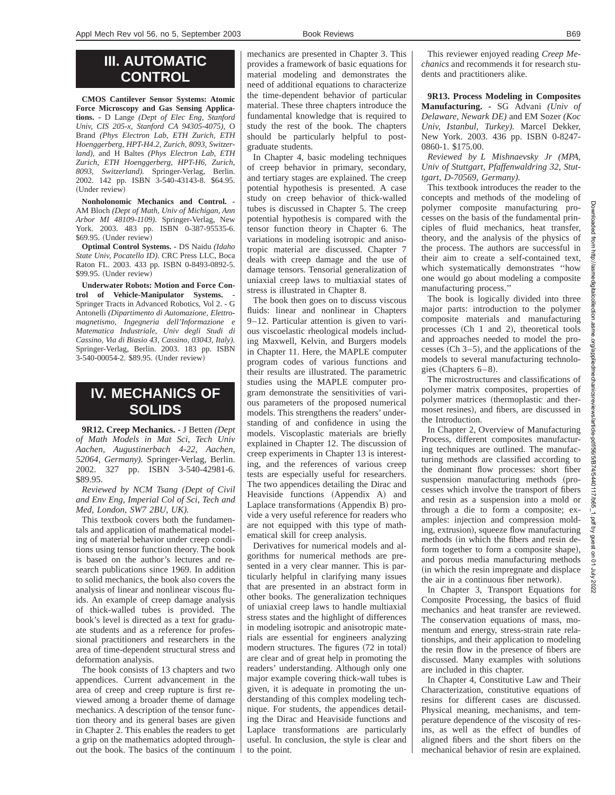### **III. AUTOMATIC CONTROL**

**CMOS Cantilever Sensor Systems: Atomic Force Microscopy and Gas Sensing Applications. -** D Lange *(Dept of Elec Eng, Stanford Univ, CIS 205-x, Stanford CA 94305-4075)*, O Brand *(Phys Electron Lab, ETH Zurich, ETH Hoenggerberg, HPT-H4.2, Zurich, 8093, Switzerland)*, and H Baltes *(Phys Electron Lab, ETH Zurich, ETH Hoenggerberg, HPT-H6, Zurich, 8093, Switzerland).* Springer-Verlag, Berlin. 2002. 142 pp. ISBN 3-540-43143-8. \$64.95. (Under review)

**Nonholonomic Mechanics and Control. -** AM Bloch *(Dept of Math, Univ of Michigan, Ann Arbor MI 48109-1109).* Springer-Verlag, New York. 2003. 483 pp. ISBN 0-387-95535-6. \$69.95. (Under review)

**Optimal Control Systems. -** DS Naidu *(Idaho State Univ, Pocatello ID).* CRC Press LLC, Boca Raton FL. 2003. 433 pp. ISBN 0-8493-0892-5.  $$99.95$ . (Under review)

**Underwater Robots: Motion and Force Control of Vehicle-Manipulator Systems. -** Springer Tracts in Advanced Robotics, Vol 2. - G Antonelli *(Dipartimento di Automazione, Elettromagnetismo, Ingegneria dell'Informazione e Matematica Industriale, Univ degli Studi di Cassino, Via di Biasio 43, Cassino, 03043, Italy).* Springer-Verlag, Berlin. 2003. 183 pp. ISBN 3-540-00054-2. \$89.95. (Under review)

# **IV. MECHANICS OF SOLIDS**

**9R12. Creep Mechanics. -** J Betten *(Dept of Math Models in Mat Sci, Tech Univ Aachen, Augustinerbach 4-22, Aachen, 52064, Germany).* Springer-Verlag, Berlin. 2002. 327 pp. ISBN 3-540-42981-6. \$89.95.

*Reviewed by NCM Tsang (Dept of Civil and Env Eng, Imperial Col of Sci, Tech and Med, London, SW7 2BU, UK).*

This textbook covers both the fundamentals and application of mathematical modeling of material behavior under creep conditions using tensor function theory. The book is based on the author's lectures and research publications since 1969. In addition to solid mechanics, the book also covers the analysis of linear and nonlinear viscous fluids. An example of creep damage analysis of thick-walled tubes is provided. The book's level is directed as a text for graduate students and as a reference for professional practitioners and researchers in the area of time-dependent structural stress and deformation analysis.

The book consists of 13 chapters and two appendices. Current advancement in the area of creep and creep rupture is first reviewed among a broader theme of damage mechanics. A description of the tensor function theory and its general bases are given in Chapter 2. This enables the readers to get a grip on the mathematics adopted throughout the book. The basics of the continuum mechanics are presented in Chapter 3. This provides a framework of basic equations for material modeling and demonstrates the need of additional equations to characterize the time-dependent behavior of particular material. These three chapters introduce the fundamental knowledge that is required to study the rest of the book. The chapters should be particularly helpful to postgraduate students.

In Chapter 4, basic modeling techniques of creep behavior in primary, secondary, and tertiary stages are explained. The creep potential hypothesis is presented. A case study on creep behavior of thick-walled tubes is discussed in Chapter 5. The creep potential hypothesis is compared with the tensor function theory in Chapter 6. The variations in modeling isotropic and anisotropic material are discussed. Chapter 7 deals with creep damage and the use of damage tensors. Tensorial generalization of uniaxial creep laws to multiaxial states of stress is illustrated in Chapter 8.

The book then goes on to discuss viscous fluids: linear and nonlinear in Chapters 9–12. Particular attention is given to various viscoelastic rheological models including Maxwell, Kelvin, and Burgers models in Chapter 11. Here, the MAPLE computer program codes of various functions and their results are illustrated. The parametric studies using the MAPLE computer program demonstrate the sensitivities of various parameters of the proposed numerical models. This strengthens the readers' understanding of and confidence in using the models. Viscoplastic materials are briefly explained in Chapter 12. The discussion of creep experiments in Chapter 13 is interesting, and the references of various creep tests are especially useful for researchers. The two appendices detailing the Dirac and Heaviside functions (Appendix A) and Laplace transformations  $(Appendix B)$  provide a very useful reference for readers who are not equipped with this type of mathematical skill for creep analysis.

Derivatives for numerical models and algorithms for numerical methods are presented in a very clear manner. This is particularly helpful in clarifying many issues that are presented in an abstract form in other books. The generalization techniques of uniaxial creep laws to handle multiaxial stress states and the highlight of differences in modeling isotropic and anisotropic materials are essential for engineers analyzing modern structures. The figures  $(72$  in total) are clear and of great help in promoting the readers' understanding. Although only one major example covering thick-wall tubes is given, it is adequate in promoting the understanding of this complex modeling technique. For students, the appendices detailing the Dirac and Heaviside functions and Laplace transformations are particularly useful. In conclusion, the style is clear and to the point.

This reviewer enjoyed reading *Creep Mechanics* and recommends it for research students and practitioners alike.

**9R13. Process Modeling in Composites Manufacturing. -** SG Advani *(Univ of Delaware, Newark DE)* and EM Sozer *(Koc Univ, Istanbul, Turkey).* Marcel Dekker, New York. 2003. 436 pp. ISBN 0-8247- 0860-1. \$175.00.

*Reviewed by L Mishnaevsky Jr (MPA, Univ of Stuttgart, Pfaffenwaldring 32, Stuttgart, D-70569, Germany).*

This textbook introduces the reader to the concepts and methods of the modeling of polymer composite manufacturing processes on the basis of the fundamental principles of fluid mechanics, heat transfer, theory, and the analysis of the physics of the process. The authors are successful in their aim to create a self-contained text, which systematically demonstrates ''how one would go about modeling a composite manufacturing process.''

The book is logically divided into three major parts: introduction to the polymer composite materials and manufacturing processes  $(Ch 1 and 2)$ , theoretical tools and approaches needed to model the processes  $(Ch 3-5)$ , and the applications of the models to several manufacturing technologies (Chapters  $6-8$ ).

The microstructures and classifications of polymer matrix composites, properties of polymer matrices (thermoplastic and thermoset resines), and fibers, are discussed in the Introduction.

In Chapter 2, Overview of Manufacturing Process, different composites manufacturing techniques are outlined. The manufacturing methods are classified according to the dominant flow processes: short fiber suspension manufacturing methods (processes which involve the transport of fibers and resin as a suspension into a mold or through a die to form a composite; examples: injection and compression molding, extrusion), squeeze flow manufacturing methods (in which the fibers and resin deform together to form a composite shape), and porous media manufacturing methods (in which the resin impregnate and displace) the air in a continuous fiber network).

In Chapter 3, Transport Equations for Composite Processing, the basics of fluid mechanics and heat transfer are reviewed. The conservation equations of mass, momentum and energy, stress-strain rate relationships, and their application to modeling the resin flow in the presence of fibers are discussed. Many examples with solutions are included in this chapter.

In Chapter 4, Constitutive Law and Their Characterization, constitutive equations of resins for different cases are discussed. Physical meaning, mechanisms, and temperature dependence of the viscosity of resins, as well as the effect of bundles of aligned fibers and the short fibers on the mechanical behavior of resin are explained.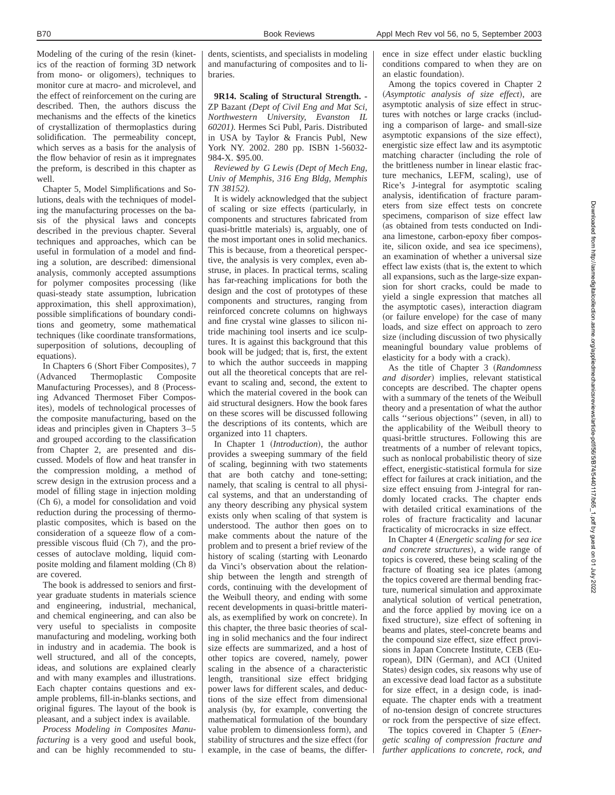Modeling of the curing of the resin (kinetics of the reaction of forming 3D network from mono- or oligomers), techniques to monitor cure at macro- and microlevel, and the effect of reinforcement on the curing are described. Then, the authors discuss the mechanisms and the effects of the kinetics of crystallization of thermoplastics during solidification. The permeability concept, which serves as a basis for the analysis of the flow behavior of resin as it impregnates the preform, is described in this chapter as well.

Chapter 5, Model Simplifications and Solutions, deals with the techniques of modeling the manufacturing processes on the basis of the physical laws and concepts described in the previous chapter. Several techniques and approaches, which can be useful in formulation of a model and finding a solution, are described: dimensional analysis, commonly accepted assumptions for polymer composites processing (like quasi-steady state assumption, lubrication approximation, this shell approximation), possible simplifications of boundary conditions and geometry, some mathematical techniques (like coordinate transformations, superposition of solutions, decoupling of equations).

In Chapters 6 (Short Fiber Composites), 7 (Advanced Thermoplastic Composite Manufacturing Processes), and 8 (Processing Advanced Thermoset Fiber Composites), models of technological processes of the composite manufacturing, based on the ideas and principles given in Chapters 3–5 and grouped according to the classification from Chapter 2, are presented and discussed. Models of flow and heat transfer in the compression molding, a method of screw design in the extrusion process and a model of filling stage in injection molding (Ch 6), a model for consolidation and void reduction during the processing of thermoplastic composites, which is based on the consideration of a squeeze flow of a compressible viscous fluid  $(Ch 7)$ , and the processes of autoclave molding, liquid composite molding and filament molding (Ch 8) are covered.

The book is addressed to seniors and firstyear graduate students in materials science and engineering, industrial, mechanical, and chemical engineering, and can also be very useful to specialists in composite manufacturing and modeling, working both in industry and in academia. The book is well structured, and all of the concepts, ideas, and solutions are explained clearly and with many examples and illustrations. Each chapter contains questions and example problems, fill-in-blanks sections, and original figures. The layout of the book is pleasant, and a subject index is available.

*Process Modeling in Composites Manufacturing* is a very good and useful book, and can be highly recommended to students, scientists, and specialists in modeling and manufacturing of composites and to libraries.

**9R14. Scaling of Structural Strength. -** ZP Bazant *(Dept of Civil Eng and Mat Sci, Northwestern University, Evanston IL 60201).* Hermes Sci Publ, Paris. Distributed in USA by Taylor & Francis Publ, New York NY. 2002. 280 pp. ISBN 1-56032- 984-X. \$95.00.

*Reviewed by G Lewis (Dept of Mech Eng, Univ of Memphis, 316 Eng Bldg, Memphis TN 38152).*

It is widely acknowledged that the subject of scaling or size effects (particularly, in components and structures fabricated from quasi-brittle materials) is, arguably, one of the most important ones in solid mechanics. This is because, from a theoretical perspective, the analysis is very complex, even abstruse, in places. In practical terms, scaling has far-reaching implications for both the design and the cost of prototypes of these components and structures, ranging from reinforced concrete columns on highways and fine crystal wine glasses to silicon nitride machining tool inserts and ice sculptures. It is against this background that this book will be judged; that is, first, the extent to which the author succeeds in mapping out all the theoretical concepts that are relevant to scaling and, second, the extent to which the material covered in the book can aid structural designers. How the book fares on these scores will be discussed following the descriptions of its contents, which are organized into 11 chapters.

In Chapter 1 *(Introduction)*, the author provides a sweeping summary of the field of scaling, beginning with two statements that are both catchy and tone-setting; namely, that scaling is central to all physical systems, and that an understanding of any theory describing any physical system exists only when scaling of that system is understood. The author then goes on to make comments about the nature of the problem and to present a brief review of the history of scaling (starting with Leonardo da Vinci's observation about the relationship between the length and strength of cords, continuing with the development of the Weibull theory, and ending with some recent developments in quasi-brittle materials, as exemplified by work on concrete). In this chapter, the three basic theories of scaling in solid mechanics and the four indirect size effects are summarized, and a host of other topics are covered, namely, power scaling in the absence of a characteristic length, transitional size effect bridging power laws for different scales, and deductions of the size effect from dimensional analysis (by, for example, converting the mathematical formulation of the boundary value problem to dimensionless form), and stability of structures and the size effect (for example, in the case of beams, the difference in size effect under elastic buckling conditions compared to when they are on an elastic foundation).

Among the topics covered in Chapter 2 (Asymptotic analysis of size effect), are asymptotic analysis of size effect in structures with notches or large cracks (including a comparison of large- and small-size asymptotic expansions of the size effect), energistic size effect law and its asymptotic matching character (including the role of the brittleness number in linear elastic fracture mechanics, LEFM, scaling), use of Rice's J-integral for asymptotic scaling analysis, identification of fracture parameters from size effect tests on concrete specimens, comparison of size effect law (as obtained from tests conducted on Indiana limestone, carbon-epoxy fiber composite, silicon oxide, and sea ice specimens), an examination of whether a universal size effect law exists (that is, the extent to which all expansions, such as the large-size expansion for short cracks, could be made to yield a single expression that matches all the asymptotic cases), interaction diagram (or failure envelope) for the case of many loads, and size effect on approach to zero size (including discussion of two physically meaningful boundary value problems of elasticity for a body with a crack).

As the title of Chapter 3 (*Randomness and disorder*! implies, relevant statistical concepts are described. The chapter opens with a summary of the tenets of the Weibull theory and a presentation of what the author calls "serious objections" (seven, in all) to the applicability of the Weibull theory to quasi-brittle structures. Following this are treatments of a number of relevant topics, such as nonlocal probabilistic theory of size effect, energistic-statistical formula for size effect for failures at crack initiation, and the size effect ensuing from J-integral for randomly located cracks. The chapter ends with detailed critical examinations of the roles of fracture fracticality and lacunar fracticality of microcracks in size effect.

In Chapter 4 (*Energetic scaling for sea ice and concrete structures*!, a wide range of topics is covered, these being scaling of the fracture of floating sea ice plates (among the topics covered are thermal bending fracture, numerical simulation and approximate analytical solution of vertical penetration, and the force applied by moving ice on a fixed structure), size effect of softening in beams and plates, steel-concrete beams and the compound size effect, size effect provisions in Japan Concrete Institute, CEB (European), DIN (German), and ACI (United States) design codes, six reasons why use of an excessive dead load factor as a substitute for size effect, in a design code, is inadequate. The chapter ends with a treatment of no-tension design of concrete structures or rock from the perspective of size effect.

The topics covered in Chapter 5 (*Energetic scaling of compression fracture and further applications to concrete, rock, and*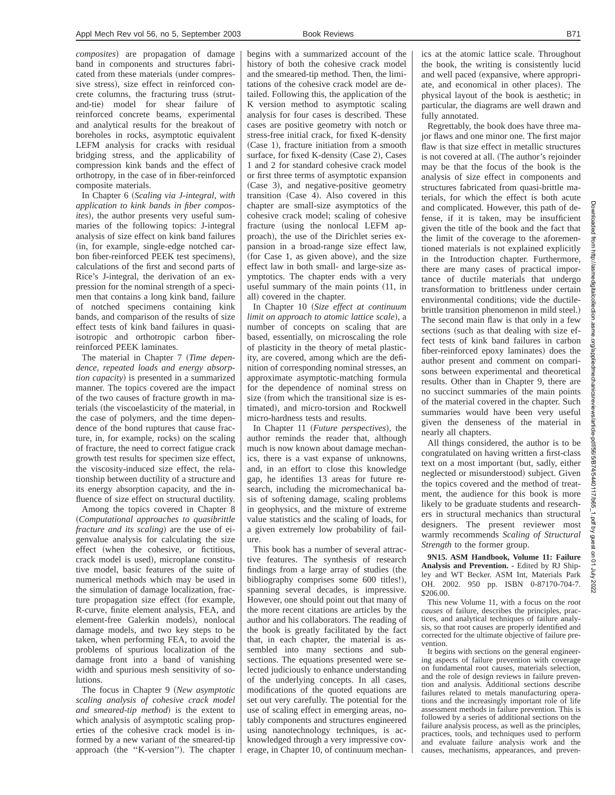*composites*! are propagation of damage band in components and structures fabricated from these materials (under compressive stress), size effect in reinforced concrete columns, the fracturing truss (strutand-tie) model for shear failure of reinforced concrete beams, experimental and analytical results for the breakout of boreholes in rocks, asymptotic equivalent LEFM analysis for cracks with residual bridging stress, and the applicability of compression kink bands and the effect of orthotropy, in the case of in fiber-reinforced composite materials.

In Chapter 6 (*Scaling via J-integral, with application to kink bands in fiber composites*), the author presents very useful summaries of the following topics: J-integral analysis of size effect on kink band failures (in, for example, single-edge notched carbon fiber-reinforced PEEK test specimens), calculations of the first and second parts of Rice's J-integral, the derivation of an expression for the nominal strength of a specimen that contains a long kink band, failure of notched specimens containing kink bands, and comparison of the results of size effect tests of kink band failures in quasiisotropic and orthotropic carbon fiberreinforced PEEK laminates.

The material in Chapter 7 (Time depen*dence, repeated loads and energy absorption capacity*) is presented in a summarized manner. The topics covered are the impact of the two causes of fracture growth in materials (the viscoelasticity of the material, in the case of polymers, and the time dependence of the bond ruptures that cause fracture, in, for example, rocks) on the scaling of fracture, the need to correct fatigue crack growth test results for specimen size effect, the viscosity-induced size effect, the relationship between ductility of a structure and its energy absorption capacity, and the influence of size effect on structural ductility.

Among the topics covered in Chapter 8 ~*Computational approaches to quasibrittle fracture and its scaling*) are the use of eigenvalue analysis for calculating the size effect (when the cohesive, or fictitious, crack model is used), microplane constitutive model, basic features of the suite of numerical methods which may be used in the simulation of damage localization, fracture propagation size effect (for example, R-curve, finite element analysis, FEA, and element-free Galerkin models), nonlocal damage models, and two key steps to be taken, when performing FEA, to avoid the problems of spurious localization of the damage front into a band of vanishing width and spurious mesh sensitivity of solutions.

The focus in Chapter 9 (New asymptotic *scaling analysis of cohesive crack model and smeared-tip method*) is the extent to which analysis of asymptotic scaling properties of the cohesive crack model is informed by a new variant of the smeared-tip approach (the "K-version"). The chapter begins with a summarized account of the history of both the cohesive crack model and the smeared-tip method. Then, the limitations of the cohesive crack model are detailed. Following this, the application of the K version method to asymptotic scaling analysis for four cases is described. These cases are positive geometry with notch or stress-free initial crack, for fixed K-density (Case 1), fracture initiation from a smooth surface, for fixed K-density (Case 2), Cases 1 and 2 for standard cohesive crack model or first three terms of asymptotic expansion (Case 3), and negative-positive geometry transition  $(Case 4)$ . Also covered in this chapter are small-size asymptotics of the cohesive crack model; scaling of cohesive fracture (using the nonlocal LEFM approach), the use of the Dirichlet series expansion in a broad-range size effect law,  $~$  (for Case 1, as given above), and the size effect law in both small- and large-size asymptotics. The chapter ends with a very useful summary of the main points  $(11, in$ all) covered in the chapter.

In Chapter 10 (Size effect at continuum *limit on approach to atomic lattice scale*), a number of concepts on scaling that are based, essentially, on microscaling the role of plasticity in the theory of metal plasticity, are covered, among which are the definition of corresponding nominal stresses, an approximate asymptotic-matching formula for the dependence of nominal stress on size (from which the transitional size is estimated), and micro-torsion and Rockwell micro-hardness tests and results.

In Chapter 11 (*Future perspectives*), the author reminds the reader that, although much is now known about damage mechanics, there is a vast expanse of unknowns, and, in an effort to close this knowledge gap, he identifies 13 areas for future research, including the micromechanical basis of softening damage, scaling problems in geophysics, and the mixture of extreme value statistics and the scaling of loads, for a given extremely low probability of failure.

This book has a number of several attractive features. The synthesis of research findings from a large array of studies (the bibliography comprises some 600 titles!), spanning several decades, is impressive. However, one should point out that many of the more recent citations are articles by the author and his collaborators. The reading of the book is greatly facilitated by the fact that, in each chapter, the material is assembled into many sections and subsections. The equations presented were selected judiciously to enhance understanding of the underlying concepts. In all cases, modifications of the quoted equations are set out very carefully. The potential for the use of scaling effect in emerging areas, notably components and structures engineered using nanotechnology techniques, is acknowledged through a very impressive coverage, in Chapter 10, of continuum mechan-

ics at the atomic lattice scale. Throughout the book, the writing is consistently lucid and well paced (expansive, where appropriate, and economical in other places). The physical layout of the book is aesthetic; in particular, the diagrams are well drawn and fully annotated.

Regrettably, the book does have three major flaws and one minor one. The first major flaw is that size effect in metallic structures is not covered at all. (The author's rejoinder may be that the focus of the book is the analysis of size effect in components and structures fabricated from quasi-brittle materials, for which the effect is both acute and complicated. However, this path of defense, if it is taken, may be insufficient given the title of the book and the fact that the limit of the coverage to the aforementioned materials is not explained explicitly in the Introduction chapter. Furthermore, there are many cases of practical importance of ductile materials that undergo transformation to brittleness under certain environmental conditions; vide the ductilebrittle transition phenomenon in mild steel.) The second main flaw is that only in a few sections (such as that dealing with size effect tests of kink band failures in carbon fiber-reinforced epoxy laminates) does the author present and comment on comparisons between experimental and theoretical results. Other than in Chapter 9, there are no succinct summaries of the main points of the material covered in the chapter. Such summaries would have been very useful given the denseness of the material in nearly all chapters.

All things considered, the author is to be congratulated on having written a first-class text on a most important (but, sadly, either neglected or misunderstood) subject. Given the topics covered and the method of treatment, the audience for this book is more likely to be graduate students and researchers in structural mechanics than structural designers. The present reviewer most warmly recommends *Scaling of Structural Strength* to the former group.

**9N15. ASM Handbook, Volume 11: Failure Analysis and Prevention. -** Edited by RJ Shipley and WT Becker. ASM Int, Materials Park OH. 2002. 950 pp. ISBN 0-87170-704-7. \$206.00.

This new Volume 11, with a focus on the *root causes* of failure, describes the principles, practices, and analytical techniques of failure analysis, so that root causes are properly identified and corrected for the ultimate objective of failure prevention.

It begins with sections on the general engineering aspects of failure prevention with coverage on fundamental root causes, materials selection, and the role of design reviews in failure prevention and analysis. Additional sections describe failures related to metals manufacturing operations and the increasingly important role of life assessment methods in failure prevention. This is followed by a series of additional sections on the failure analysis process, as well as the principles, practices, tools, and techniques used to perform and evaluate failure analysis work and the causes, mechanisms, appearances, and preven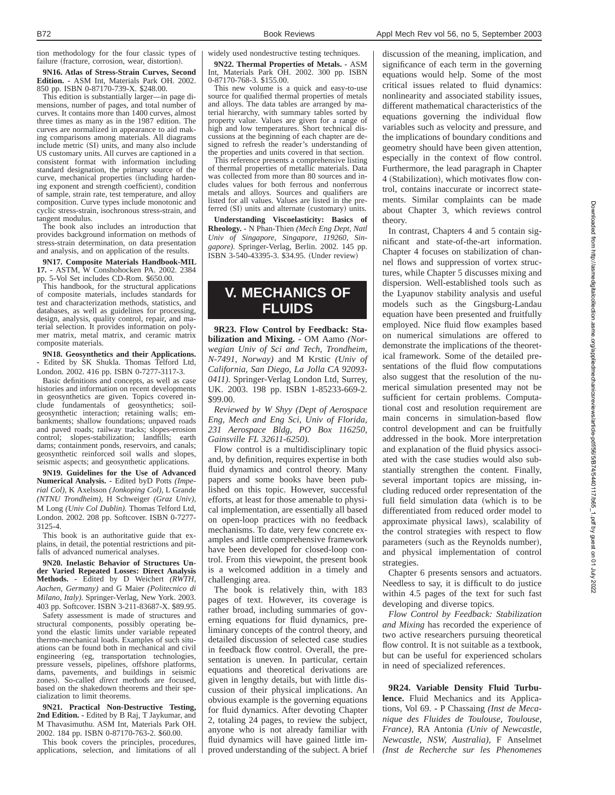tion methodology for the four classic types of failure (fracture, corrosion, wear, distortion).

**9N16. Atlas of Stress-Strain Curves, Second Edition. -** ASM Int, Materials Park OH. 2002. 850 pp. ISBN 0-87170-739-X. \$248.00.

This edition is substantially larger—in page dimensions, number of pages, and total number of curves. It contains more than 1400 curves, almost three times as many as in the 1987 edition. The curves are normalized in appearance to aid making comparisons among materials. All diagrams include metric (SI) units, and many also include US customary units. All curves are captioned in a consistent format with information including standard designation, the primary source of the curve, mechanical properties (including hardening exponent and strength coefficient), condition of sample, strain rate, test temperature, and alloy composition. Curve types include monotonic and cyclic stress-strain, isochronous stress-strain, and tangent modulus.

The book also includes an introduction that provides background information on methods of stress-strain determination, on data presentation and analysis, and on application of the results.

**9N17. Composite Materials Handbook-MIL 17. -** ASTM, W Conshohocken PA. 2002. 2384 pp. 5-Vol Set includes CD-Rom. \$650.00.

This handbook, for the structural applications of composite materials, includes standards for test and characterization methods, statistics, and databases, as well as guidelines for processing, design, analysis, quality control, repair, and material selection. It provides information on polymer matrix, metal matrix, and ceramic matrix composite materials.

**9N18. Geosynthetics and their Applications. -** Edited by SK Shukla. Thomas Telford Ltd, London. 2002. 416 pp. ISBN 0-7277-3117-3.

Basic definitions and concepts, as well as case histories and information on recent developments in geosynthetics are given. Topics covered include fundamentals of geosynthetics; soilgeosynthetic interaction; retaining walls; embankments; shallow foundations; unpaved roads and paved roads; railway tracks; slopes-erosion control; slopes-stabilization; landfills; earth dams; containment ponds, reservoirs, and canals; geosynthetic reinforced soil walls and slopes, seismic aspects; and geosynthetic applications.

**9N19. Guidelines for the Use of Advanced Numerical Analysis. -** Edited byD Potts *(Imperial Col),* K Axelsson *(Jonkoping Col),* L Grande *(NTNU Trondheim),* H Schweiger *(Graz Univ),* M Long *(Univ Col Dublin).* Thomas Telford Ltd, London. 2002. 208 pp. Softcover. ISBN 0-7277- 3125-4.

This book is an authoritative guide that explains, in detail, the potential restrictions and pitfalls of advanced numerical analyses.

**9N20. Inelastic Behavior of Structures Under Varied Repeated Losses: Direct Analysis Methods. -** Edited by D Weichert *(RWTH, Aachen, Germany)* and G Maier *(Politecnico di Milano, Italy).* Springer-Verlag, New York. 2003. 403 pp. Softcover. ISBN 3-211-83687-X. \$89.95.

Safety assessment is made of structures and structural components, possibly operating beyond the elastic limits under variable repeated thermo-mechanical loads. Examples of such situations can be found both in mechanical and civil engineering (eg, transportation technologies, pressure vessels, pipelines, offshore platforms, dams, pavements, and buildings in seismic zones). So-called *direct* methods are focused, based on the shakedown theorems and their specialization to limit theorems.

**9N21. Practical Non-Destructive Testing, 2nd Edition. -** Edited by B Raj, T Jaykumar, and M Thavasimuthu. ASM Int, Materials Park OH. 2002. 184 pp. ISBN 0-87170-763-2. \$60.00.

This book covers the principles, procedures, applications, selection, and limitations of all

widely used nondestructive testing techniques. **9N22. Thermal Properties of Metals. -** ASM Int, Materials Park OH. 2002. 300 pp. ISBN 0-87170-768-3. \$155.00.

This new volume is a quick and easy-to-use source for qualified thermal properties of metals and alloys. The data tables are arranged by material hierarchy, with summary tables sorted by property value. Values are given for a range of high and low temperatures. Short technical discussions at the beginning of each chapter are designed to refresh the reader's understanding of the properties and units covered in that section.

This reference presents a comprehensive listing of thermal properties of metallic materials. Data was collected from more than 80 sources and includes values for both ferrous and nonferrous metals and alloys. Sources and qualifiers are listed for all values. Values are listed in the preferred (SI) units and alternate (customary) units.

**Understanding Viscoelasticity: Basics of Rheology. -** N Phan-Thien *(Mech Eng Dept, Natl Univ of Singapore, Singapore, 119260, Singapore).* Springer-Verlag, Berlin. 2002. 145 pp. ISBN 3-540-43395-3. \$34.95. (Under review)

# **V. MECHANICS OF FLUIDS**

**9R23. Flow Control by Feedback: Stabilization and Mixing. -** OM Aamo *(Norwegian Univ of Sci and Tech, Trondheim, N-7491, Norway)* and M Krstic *(Univ of California, San Diego, La Jolla CA 92093- 0411).* Springer-Verlag London Ltd, Surrey, UK. 2003. 198 pp. ISBN 1-85233-669-2. \$99.00.

*Reviewed by W Shyy (Dept of Aerospace Eng, Mech and Eng Sci, Univ of Florida, 231 Aerospace Bldg, PO Box 116250, Gainsville FL 32611-6250).*

Flow control is a multidisciplinary topic and, by definition, requires expertise in both fluid dynamics and control theory. Many papers and some books have been published on this topic. However, successful efforts, at least for those amenable to physical implementation, are essentially all based on open-loop practices with no feedback mechanisms. To date, very few concrete examples and little comprehensive framework have been developed for closed-loop control. From this viewpoint, the present book is a welcomed addition in a timely and challenging area.

The book is relatively thin, with 183 pages of text. However, its coverage is rather broad, including summaries of governing equations for fluid dynamics, preliminary concepts of the control theory, and detailed discussion of selected case studies in feedback flow control. Overall, the presentation is uneven. In particular, certain equations and theoretical derivations are given in lengthy details, but with little discussion of their physical implications. An obvious example is the governing equations for fluid dynamics. After devoting Chapter 2, totaling 24 pages, to review the subject, anyone who is not already familiar with fluid dynamics will have gained little improved understanding of the subject. A brief

discussion of the meaning, implication, and significance of each term in the governing equations would help. Some of the most critical issues related to fluid dynamics: nonlinearity and associated stability issues, different mathematical characteristics of the equations governing the individual flow variables such as velocity and pressure, and the implications of boundary conditions and geometry should have been given attention, especially in the context of flow control. Furthermore, the lead paragraph in Chapter 4 (Stabilization), which motivates flow control, contains inaccurate or incorrect statements. Similar complaints can be made about Chapter 3, which reviews control theory.

In contrast, Chapters 4 and 5 contain significant and state-of-the-art information. Chapter 4 focuses on stabilization of channel flows and suppression of vortex structures, while Chapter 5 discusses mixing and dispersion. Well-established tools such as the Lyapunov stability analysis and useful models such as the Gingsburg-Landau equation have been presented and fruitfully employed. Nice fluid flow examples based on numerical simulations are offered to demonstrate the implications of the theoretical framework. Some of the detailed presentations of the fluid flow computations also suggest that the resolution of the numerical simulation presented may not be sufficient for certain problems. Computational cost and resolution requirement are main concerns in simulation-based flow control development and can be fruitfully addressed in the book. More interpretation and explanation of the fluid physics associated with the case studies would also substantially strengthen the content. Finally, several important topics are missing, including reduced order representation of the full field simulation data (which is to be differentiated from reduced order model to approximate physical laws), scalability of the control strategies with respect to flow parameters (such as the Reynolds number), and physical implementation of control strategies.

Chapter 6 presents sensors and actuators. Needless to say, it is difficult to do justice within 4.5 pages of the text for such fast developing and diverse topics.

*Flow Control by Feedback: Stabilization and Mixing* has recorded the experience of two active researchers pursuing theoretical flow control. It is not suitable as a textbook, but can be useful for experienced scholars in need of specialized references.

**9R24. Variable Density Fluid Turbulence.** Fluid Mechanics and its Applications, Vol 69. **-** P Chassaing *(Inst de Mecanique des Fluides de Toulouse, Toulouse, France),* RA Antonia *(Univ of Newcastle, Newcastle, NSW, Australia),* F Anselmet *(Inst de Recherche sur les Phenomenes*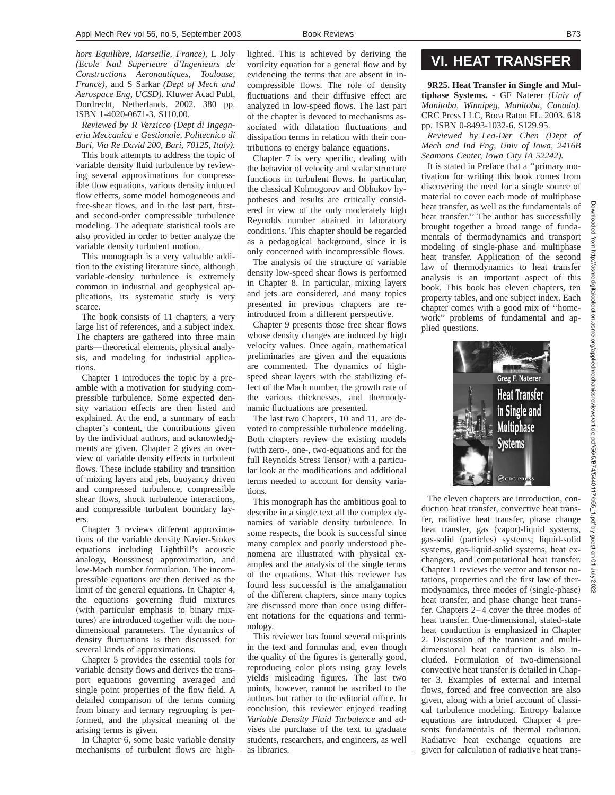*hors Equilibre, Marseille, France),* L Joly *(Ecole Natl Superieure d'Ingenieurs de Constructions Aeronautiques, Toulouse, France),* and S Sarkar *(Dept of Mech and Aerospace Eng, UCSD).* Kluwer Acad Publ, Dordrecht, Netherlands. 2002. 380 pp. ISBN 1-4020-0671-3. \$110.00.

*Reviewed by R Verzicco (Dept di Ingegneria Meccanica e Gestionale, Politecnico di Bari, Via Re David 200, Bari, 70125, Italy).*

This book attempts to address the topic of variable density fluid turbulence by reviewing several approximations for compressible flow equations, various density induced flow effects, some model homogeneous and free-shear flows, and in the last part, firstand second-order compressible turbulence modeling. The adequate statistical tools are also provided in order to better analyze the variable density turbulent motion.

This monograph is a very valuable addition to the existing literature since, although variable-density turbulence is extremely common in industrial and geophysical applications, its systematic study is very scarce.

The book consists of 11 chapters, a very large list of references, and a subject index. The chapters are gathered into three main parts—theoretical elements, physical analysis, and modeling for industrial applications.

Chapter 1 introduces the topic by a preamble with a motivation for studying compressible turbulence. Some expected density variation effects are then listed and explained. At the end, a summary of each chapter's content, the contributions given by the individual authors, and acknowledgments are given. Chapter 2 gives an overview of variable density effects in turbulent flows. These include stability and transition of mixing layers and jets, buoyancy driven and compressed turbulence, compressible shear flows, shock turbulence interactions, and compressible turbulent boundary layers.

Chapter 3 reviews different approximations of the variable density Navier-Stokes equations including Lighthill's acoustic analogy, Boussinesq approximation, and low-Mach number formulation. The incompressible equations are then derived as the limit of the general equations. In Chapter 4, the equations governing fluid mixtures (with particular emphasis to binary mixtures) are introduced together with the nondimensional parameters. The dynamics of density fluctuations is then discussed for several kinds of approximations.

Chapter 5 provides the essential tools for variable density flows and derives the transport equations governing averaged and single point properties of the flow field. A detailed comparison of the terms coming from binary and ternary regrouping is performed, and the physical meaning of the arising terms is given.

In Chapter 6, some basic variable density mechanisms of turbulent flows are highlighted. This is achieved by deriving the vorticity equation for a general flow and by evidencing the terms that are absent in incompressible flows. The role of density fluctuations and their diffusive effect are analyzed in low-speed flows. The last part of the chapter is devoted to mechanisms associated with dilatation fluctuations and dissipation terms in relation with their contributions to energy balance equations.

Chapter 7 is very specific, dealing with the behavior of velocity and scalar structure functions in turbulent flows. In particular, the classical Kolmogorov and Obhukov hypotheses and results are critically considered in view of the only moderately high Reynolds number attained in laboratory conditions. This chapter should be regarded as a pedagogical background, since it is only concerned with incompressible flows.

The analysis of the structure of variable density low-speed shear flows is performed in Chapter 8. In particular, mixing layers and jets are considered, and many topics presented in previous chapters are reintroduced from a different perspective.

Chapter 9 presents those free shear flows whose density changes are induced by high velocity values. Once again, mathematical preliminaries are given and the equations are commented. The dynamics of highspeed shear layers with the stabilizing effect of the Mach number, the growth rate of the various thicknesses, and thermodynamic fluctuations are presented.

The last two Chapters, 10 and 11, are devoted to compressible turbulence modeling. Both chapters review the existing models (with zero-, one-, two-equations and for the full Reynolds Stress Tensor) with a particular look at the modifications and additional terms needed to account for density variations.

This monograph has the ambitious goal to describe in a single text all the complex dynamics of variable density turbulence. In some respects, the book is successful since many complex and poorly understood phenomena are illustrated with physical examples and the analysis of the single terms of the equations. What this reviewer has found less successful is the amalgamation of the different chapters, since many topics are discussed more than once using different notations for the equations and terminology.

This reviewer has found several misprints in the text and formulas and, even though the quality of the figures is generally good, reproducing color plots using gray levels yields misleading figures. The last two points, however, cannot be ascribed to the authors but rather to the editorial office. In conclusion, this reviewer enjoyed reading *Variable Density Fluid Turbulence* and advises the purchase of the text to graduate students, researchers, and engineers, as well as libraries.

# **VI. HEAT TRANSFER**

**9R25. Heat Transfer in Single and Multiphase Systems. -** GF Naterer *(Univ of Manitoba, Winnipeg, Manitoba, Canada).* CRC Press LLC, Boca Raton FL. 2003. 618 pp. ISBN 0-8493-1032-6. \$129.95.

*Reviewed by Lea-Der Chen (Dept of Mech and Ind Eng, Univ of Iowa, 2416B Seamans Center, Iowa City IA 52242).*

It is stated in Preface that a ''primary motivation for writing this book comes from discovering the need for a single source of material to cover each mode of multiphase heat transfer, as well as the fundamentals of heat transfer.'' The author has successfully brought together a broad range of fundamentals of thermodynamics and transport modeling of single-phase and multiphase heat transfer. Application of the second law of thermodynamics to heat transfer analysis is an important aspect of this book. This book has eleven chapters, ten property tables, and one subject index. Each chapter comes with a good mix of ''homework'' problems of fundamental and applied questions.



The eleven chapters are introduction, conduction heat transfer, convective heat transfer, radiative heat transfer, phase change heat transfer, gas (vapor)-liquid systems, gas-solid (particles) systems; liquid-solid systems, gas-liquid-solid systems, heat exchangers, and computational heat transfer. Chapter 1 reviews the vector and tensor notations, properties and the first law of thermodynamics, three modes of (single-phase) heat transfer, and phase change heat transfer. Chapters 2–4 cover the three modes of heat transfer. One-dimensional, stated-state heat conduction is emphasized in Chapter 2. Discussion of the transient and multidimensional heat conduction is also included. Formulation of two-dimensional convective heat transfer is detailed in Chapter 3. Examples of external and internal flows, forced and free convection are also given, along with a brief account of classical turbulence modeling. Entropy balance equations are introduced. Chapter 4 presents fundamentals of thermal radiation. Radiative heat exchange equations are given for calculation of radiative heat trans-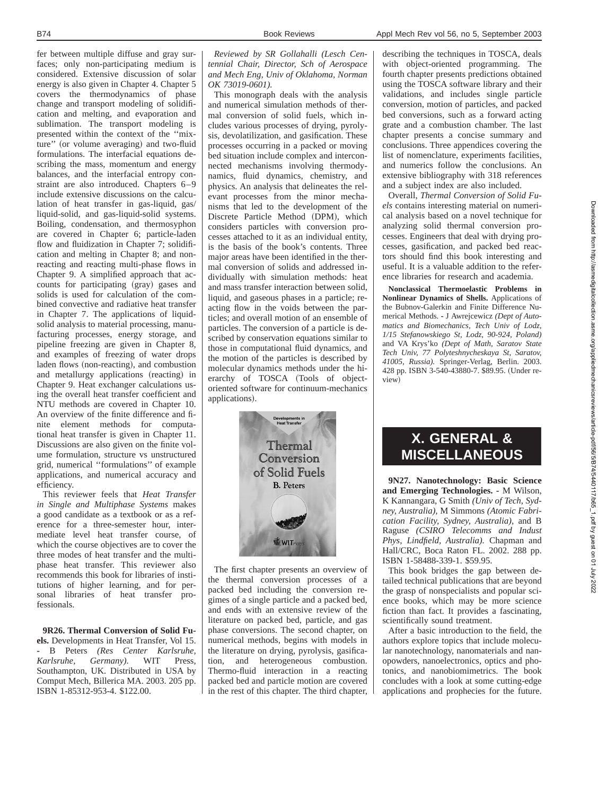fer between multiple diffuse and gray surfaces; only non-participating medium is considered. Extensive discussion of solar energy is also given in Chapter 4. Chapter 5 covers the thermodynamics of phase change and transport modeling of solidification and melting, and evaporation and sublimation. The transport modeling is presented within the context of the ''mixture" (or volume averaging) and two-fluid formulations. The interfacial equations describing the mass, momentum and energy balances, and the interfacial entropy constraint are also introduced. Chapters 6–9 include extensive discussions on the calculation of heat transfer in gas-liquid, gas/ liquid-solid, and gas-liquid-solid systems. Boiling, condensation, and thermosyphon are covered in Chapter 6; particle-laden flow and fluidization in Chapter 7; solidification and melting in Chapter 8; and nonreacting and reacting multi-phase flows in Chapter 9. A simplified approach that accounts for participating (gray) gases and solids is used for calculation of the combined convective and radiative heat transfer in Chapter 7. The applications of liquidsolid analysis to material processing, manufacturing processes, energy storage, and pipeline freezing are given in Chapter 8, and examples of freezing of water drops laden flows (non-reacting), and combustion and metallurgy applications (reacting) in Chapter 9. Heat exchanger calculations using the overall heat transfer coefficient and NTU methods are covered in Chapter 10. An overview of the finite difference and finite element methods for computational heat transfer is given in Chapter 11. Discussions are also given on the finite volume formulation, structure vs unstructured grid, numerical ''formulations'' of example applications, and numerical accuracy and efficiency.

This reviewer feels that *Heat Transfer in Single and Multiphase Systems* makes a good candidate as a textbook or as a reference for a three-semester hour, intermediate level heat transfer course, of which the course objectives are to cover the three modes of heat transfer and the multiphase heat transfer. This reviewer also recommends this book for libraries of institutions of higher learning, and for personal libraries of heat transfer professionals.

**9R26. Thermal Conversion of Solid Fuels.** Developments in Heat Transfer, Vol 15. **-** B Peters *(Res Center Karlsruhe, Karlsruhe, Germany).* WIT Press, Southampton, UK. Distributed in USA by Comput Mech, Billerica MA. 2003. 205 pp. ISBN 1-85312-953-4. \$122.00.

*Reviewed by SR Gollahalli (Lesch Centennial Chair, Director, Sch of Aerospace and Mech Eng, Univ of Oklahoma, Norman OK 73019-0601).*

This monograph deals with the analysis and numerical simulation methods of thermal conversion of solid fuels, which includes various processes of drying, pyrolysis, devolatilization, and gasification. These processes occurring in a packed or moving bed situation include complex and interconnected mechanisms involving thermodynamics, fluid dynamics, chemistry, and physics. An analysis that delineates the relevant processes from the minor mechanisms that led to the development of the Discrete Particle Method (DPM), which considers particles with conversion processes attached to it as an individual entity, is the basis of the book's contents. Three major areas have been identified in the thermal conversion of solids and addressed individually with simulation methods: heat and mass transfer interaction between solid, liquid, and gaseous phases in a particle; reacting flow in the voids between the particles; and overall motion of an ensemble of particles. The conversion of a particle is described by conservation equations similar to those in computational fluid dynamics, and the motion of the particles is described by molecular dynamics methods under the hierarchy of TOSCA (Tools of objectoriented software for continuum-mechanics applications).



The first chapter presents an overview of the thermal conversion processes of a packed bed including the conversion regimes of a single particle and a packed bed, and ends with an extensive review of the literature on packed bed, particle, and gas phase conversions. The second chapter, on numerical methods, begins with models in the literature on drying, pyrolysis, gasification, and heterogeneous combustion. Thermo-fluid interaction in a reacting packed bed and particle motion are covered in the rest of this chapter. The third chapter,

describing the techniques in TOSCA, deals with object-oriented programming. The fourth chapter presents predictions obtained using the TOSCA software library and their validations, and includes single particle conversion, motion of particles, and packed bed conversions, such as a forward acting grate and a combustion chamber. The last chapter presents a concise summary and conclusions. Three appendices covering the list of nomenclature, experiments facilities, and numerics follow the conclusions. An extensive bibliography with 318 references and a subject index are also included.

Overall, *Thermal Conversion of Solid Fuels* contains interesting material on numerical analysis based on a novel technique for analyzing solid thermal conversion processes. Engineers that deal with drying processes, gasification, and packed bed reactors should find this book interesting and useful. It is a valuable addition to the reference libraries for research and academia.

**Nonclassical Thermoelastic Problems in Nonlinear Dynamics of Shells.** Applications of the Bubnov-Galerkin and Finite Difference Numerical Methods. **-** J Awrejcewicz *(Dept of Automatics and Biomechanics, Tech Univ of Lodz, 1/15 Stefanowskiego St, Lodz, 90-924, Poland)* and VA Krys'ko *(Dept of Math, Saratov State Tech Univ, 77 Polyteshnycheskaya St, Saratov, 41005, Russia).* Springer-Verlag, Berlin. 2003. 428 pp. ISBN 3-540-43880-7. \$89.95. (Under review)

# **X. GENERAL &<br>MISCELLANEOUS MISCELLANEOUS**

**9N27. Nanotechnology: Basic Science and Emerging Technologies. -** M Wilson, K Kannangara, G Smith *(Univ of Tech, Sydney, Australia),* M Simmons *(Atomic Fabrication Facility, Sydney, Australia),* and B Raguse *(CSIRO Telecomms and Indust Phys, Lindfield, Australia).* Chapman and Hall/CRC, Boca Raton FL. 2002. 288 pp. ISBN 1-58488-339-1. \$59.95.

This book bridges the gap between detailed technical publications that are beyond the grasp of nonspecialists and popular science books, which may be more science fiction than fact. It provides a fascinating, scientifically sound treatment.

After a basic introduction to the field, the authors explore topics that include molecular nanotechnology, nanomaterials and nanopowders, nanoelectronics, optics and photonics, and nanobiomimetrics. The book concludes with a look at some cutting-edge applications and prophecies for the future.